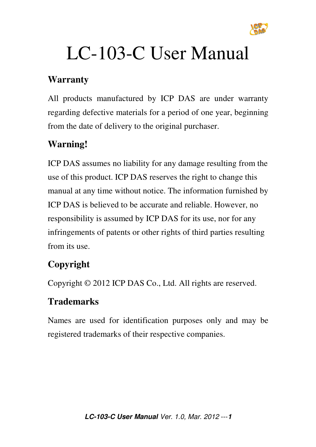

# LC-103-C User Manual

#### **Warranty**

All products manufactured by ICP DAS are under warranty regarding defective materials for a period of one year, beginning from the date of delivery to the original purchaser.

#### **Warning!**

ICP DAS assumes no liability for any damage resulting from the use of this product. ICP DAS reserves the right to change this manual at any time without notice. The information furnished by ICP DAS is believed to be accurate and reliable. However, no responsibility is assumed by ICP DAS for its use, nor for any infringements of patents or other rights of third parties resulting from its use.

## **Copyright**

Copyright © 2012 ICP DAS Co., Ltd. All rights are reserved.

#### **Trademarks**

Names are used for identification purposes only and may be registered trademarks of their respective companies.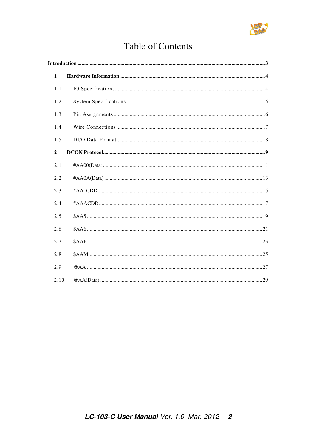

## **Table of Contents**

| $\mathbf{1}$   |  |  |
|----------------|--|--|
| 1.1            |  |  |
| 1.2            |  |  |
| 1.3            |  |  |
| 1.4            |  |  |
| 1.5            |  |  |
| $\overline{2}$ |  |  |
| 2.1            |  |  |
| 2.2            |  |  |
| 2.3            |  |  |
| 2.4            |  |  |
| 2.5            |  |  |
| 2.6            |  |  |
| 2.7            |  |  |
| 2.8            |  |  |
| 2.9            |  |  |
| 2.10           |  |  |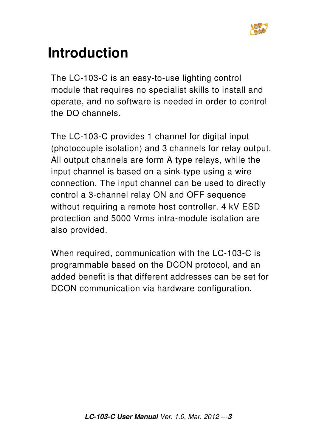

## **Introduction**

The LC-103-C is an easy-to-use lighting control module that requires no specialist skills to install and operate, and no software is needed in order to control the DO channels.

The LC-103-C provides 1 channel for digital input (photocouple isolation) and 3 channels for relay output. All output channels are form A type relays, while the input channel is based on a sink-type using a wire connection. The input channel can be used to directly control a 3-channel relay ON and OFF sequence without requiring a remote host controller. 4 kV ESD protection and 5000 Vrms intra-module isolation are also provided.

When required, communication with the LC-103-C is programmable based on the DCON protocol, and an added benefit is that different addresses can be set for DCON communication via hardware configuration.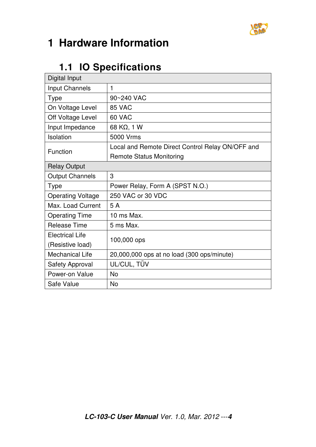

## **1 Hardware Information**

## **1.1 IO Specifications**

| Digital Input            |                                                  |  |  |
|--------------------------|--------------------------------------------------|--|--|
| Input Channels           | 1                                                |  |  |
| <b>Type</b>              | 90~240 VAC                                       |  |  |
| On Voltage Level         | 85 VAC                                           |  |  |
| Off Voltage Level        | 60 VAC                                           |  |  |
| Input Impedance          | 68 KΩ, 1 W                                       |  |  |
| Isolation                | 5000 Vrms                                        |  |  |
| <b>Function</b>          | Local and Remote Direct Control Relay ON/OFF and |  |  |
|                          | <b>Remote Status Monitoring</b>                  |  |  |
| <b>Relay Output</b>      |                                                  |  |  |
| <b>Output Channels</b>   | 3                                                |  |  |
| <b>Type</b>              | Power Relay, Form A (SPST N.O.)                  |  |  |
| <b>Operating Voltage</b> | 250 VAC or 30 VDC                                |  |  |
| Max. Load Current        | 5A                                               |  |  |
| <b>Operating Time</b>    | 10 ms Max.                                       |  |  |
| <b>Release Time</b>      | 5 ms Max.                                        |  |  |
| <b>Electrical Life</b>   | 100,000 ops                                      |  |  |
| (Resistive load)         |                                                  |  |  |
| <b>Mechanical Life</b>   | 20,000,000 ops at no load (300 ops/minute)       |  |  |
| <b>Safety Approval</b>   | UL/CUL, TÜV                                      |  |  |
| Power-on Value           | <b>No</b>                                        |  |  |
| Safe Value               | <b>No</b>                                        |  |  |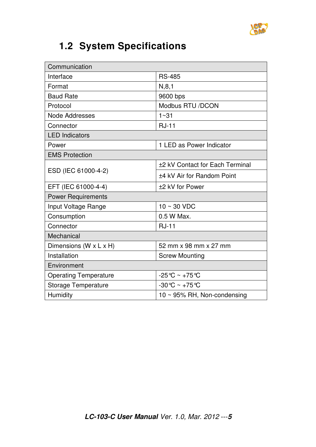

## **1.2 System Specifications**

| Communication                |                                   |  |
|------------------------------|-----------------------------------|--|
| Interface                    | <b>RS-485</b>                     |  |
| Format                       | N, 8, 1                           |  |
| <b>Baud Rate</b>             | 9600 bps                          |  |
| Protocol                     | Modbus RTU /DCON                  |  |
| Node Addresses               | $1 - 31$                          |  |
| Connector                    | <b>RJ-11</b>                      |  |
| <b>LED</b> Indicators        |                                   |  |
| Power                        | 1 LED as Power Indicator          |  |
| <b>EMS Protection</b>        |                                   |  |
|                              | ±2 kV Contact for Each Terminal   |  |
| ESD (IEC 61000-4-2)          | ±4 kV Air for Random Point        |  |
| EFT (IEC 61000-4-4)          | ±2 kV for Power                   |  |
| <b>Power Requirements</b>    |                                   |  |
| Input Voltage Range          | $10 \sim 30$ VDC                  |  |
| Consumption                  | 0.5 W Max.                        |  |
| Connector                    | <b>RJ-11</b>                      |  |
| Mechanical                   |                                   |  |
| Dimensions (W x L x H)       | 52 mm x 98 mm x 27 mm             |  |
| Installation                 | <b>Screw Mounting</b>             |  |
| Environment                  |                                   |  |
| <b>Operating Temperature</b> | $-25^{\circ}$ C ~ $+75^{\circ}$ C |  |
| <b>Storage Temperature</b>   | $-30^{\circ}$ C ~ $+75^{\circ}$ C |  |
| Humidity                     | 10 ~ 95% RH, Non-condensing       |  |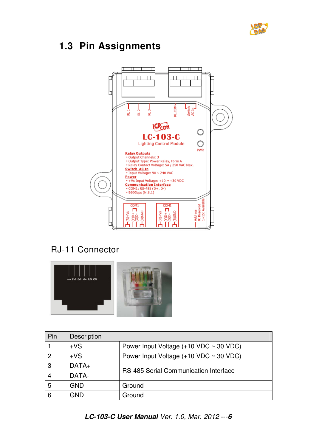

## **1.3 Pin Assignments**



#### RJ-11 Connector



| Pin | Description |                                               |  |  |
|-----|-------------|-----------------------------------------------|--|--|
|     | $+VS$       | Power Input Voltage $(+10$ VDC $\sim$ 30 VDC) |  |  |
| 2   | $+VS$       | Power Input Voltage $(+10$ VDC $\sim$ 30 VDC) |  |  |
| 3   | $DATA+$     | RS-485 Serial Communication Interface         |  |  |
| 4   | DATA-       |                                               |  |  |
| 5   | <b>GND</b>  | Ground                                        |  |  |
| 6   | GND         | Ground                                        |  |  |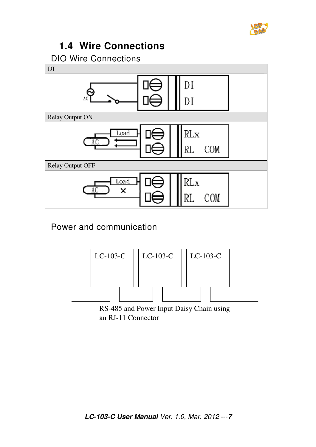

#### **1.4 Wire Connections**

DIO Wire Connections



Power and communication



an RJ-11 Connector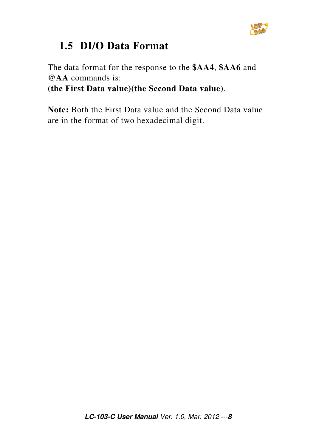

## **1.5 DI/O Data Format**

The data format for the response to the **\$AA4**, **\$AA6** and **@AA** commands is: **(the First Data value)(the Second Data value)**.

**Note:** Both the First Data value and the Second Data value are in the format of two hexadecimal digit.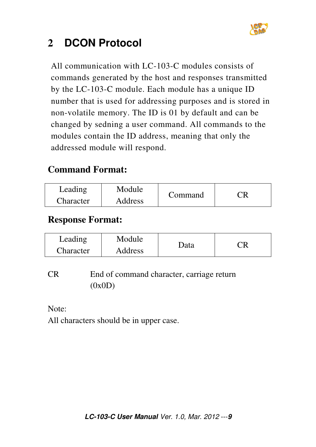

## **2 DCON Protocol**

All communication with LC-103-C modules consists of commands generated by the host and responses transmitted by the LC-103-C module. Each module has a unique ID number that is used for addressing purposes and is stored in non-volatile memory. The ID is 01 by default and can be changed by sedning a user command. All commands to the modules contain the ID address, meaning that only the addressed module will respond.

#### **Command Format:**

| Leading   | Module  |         |  |
|-----------|---------|---------|--|
| Character | Address | Command |  |

#### **Response Format:**

| Leading   | Module         |             |  |
|-----------|----------------|-------------|--|
| Character | <b>Address</b> | <b>Data</b> |  |

CR End of command character, carriage return (0x0D)

Note:

All characters should be in upper case.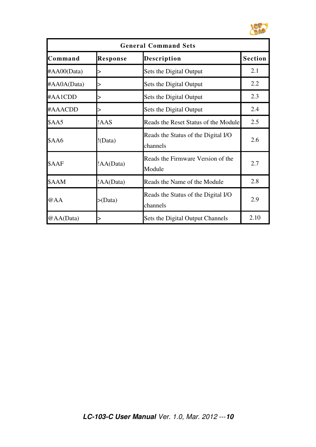

| <b>General Command Sets</b> |                 |                                                 |                |
|-----------------------------|-----------------|-------------------------------------------------|----------------|
| Command                     | <b>Response</b> | <b>Description</b>                              | <b>Section</b> |
| #AA00(Data)                 |                 | Sets the Digital Output                         | 2.1            |
| #AA0A(Data)                 |                 | Sets the Digital Output                         | 2.2            |
| #AA1CDD                     |                 | Sets the Digital Output                         | 2.3            |
| #AAACDD                     |                 | Sets the Digital Output                         | 2.4            |
| \$AA5                       | !AAS            | Reads the Reset Status of the Module            | 2.5            |
| \$AA6                       | !(Data)         | Reads the Status of the Digital I/O<br>channels | 2.6            |
| \$AAF                       | !AA(Data)       | Reads the Firmware Version of the<br>Module     | 2.7            |
| \$AAM                       | !AA(Data)       | Reads the Name of the Module                    | 2.8            |
| @AA                         | > (Data)        | Reads the Status of the Digital I/O<br>channels | 2.9            |
| @AA(Data)                   |                 | Sets the Digital Output Channels                | 2.10           |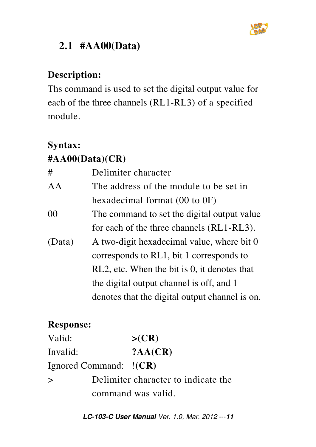

## **2.1 #AA00(Data)**

## **Description:**

Ths command is used to set the digital output value for each of the three channels (RL1-RL3) of a specified module.

#### **Syntax:**

## **#AA00(Data)(CR)**

| #      | Delimiter character                            |  |  |
|--------|------------------------------------------------|--|--|
| AA     | The address of the module to be set in         |  |  |
|        | hexadecimal format $(00 \text{ to } 0F)$       |  |  |
| 00     | The command to set the digital output value    |  |  |
|        | for each of the three channels (RL1-RL3).      |  |  |
| (Data) | A two-digit hexadecimal value, where bit 0     |  |  |
|        | corresponds to RL1, bit 1 corresponds to       |  |  |
|        | RL2, etc. When the bit is 0, it denotes that   |  |  |
|        | the digital output channel is off, and 1       |  |  |
|        | denotes that the digital output channel is on. |  |  |

#### **Response:**

| Valid:                 | >(CR)                               |
|------------------------|-------------------------------------|
| Invalid:               | ?AA(CR)                             |
| Ignored Command: !(CR) |                                     |
| $\geq$                 | Delimiter character to indicate the |
|                        | command was valid.                  |

**LC-103-C User Manual** Ver. 1.0, Mar. 2012 ---**11**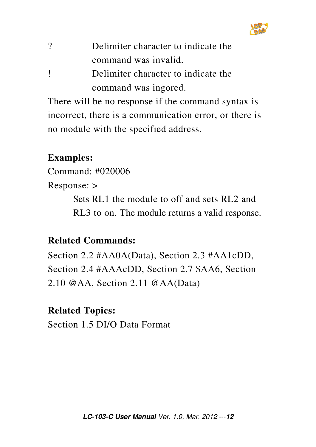

| ? | Delimiter character to indicate the |
|---|-------------------------------------|
|   | command was invalid.                |

! Delimiter character to indicate the command was ingored.

There will be no response if the command syntax is incorrect, there is a communication error, or there is no module with the specified address.

#### **Examples:**

Command: #020006

Response: >

 Sets RL1 the module to off and sets RL2 and RL3 to on. The module returns a valid response.

## **Related Commands:**

Section 2.2 #AA0A(Data), Section 2.3 #AA1cDD, Section 2.4 #AAAcDD, Section 2.7 \$AA6, Section 2.10 @AA, Section 2.11 @AA(Data)

#### **Related Topics:**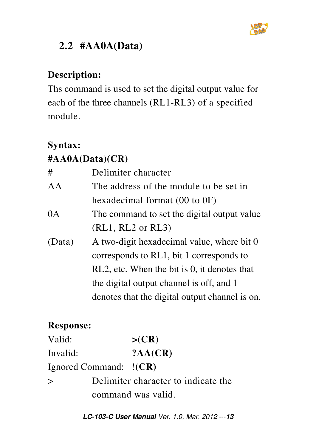

## **2.2 #AA0A(Data)**

## **Description:**

Ths command is used to set the digital output value for each of the three channels (RL1-RL3) of a specified module.

#### **Syntax:**

## **#AA0A(Data)(CR)**

| #      | Delimiter character                            |  |  |
|--------|------------------------------------------------|--|--|
| AA     | The address of the module to be set in         |  |  |
|        | hexadecimal format $(00 \text{ to } 0F)$       |  |  |
| 0A     | The command to set the digital output value    |  |  |
|        | $(RL1, RL2$ or $RL3)$                          |  |  |
| (Data) | A two-digit hexadecimal value, where bit 0     |  |  |
|        | corresponds to RL1, bit 1 corresponds to       |  |  |
|        | RL2, etc. When the bit is 0, it denotes that   |  |  |
|        | the digital output channel is off, and 1       |  |  |
|        | denotes that the digital output channel is on. |  |  |

## **Response:**

| Valid:                 | >(CR)                               |
|------------------------|-------------------------------------|
| Invalid:               | ?AA(CR)                             |
| Ignored Command: !(CR) |                                     |
| $\geq$                 | Delimiter character to indicate the |
|                        | command was valid.                  |

**LC-103-C User Manual** Ver. 1.0, Mar. 2012 ---**13**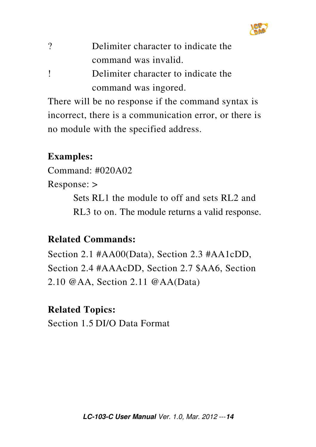

| $\gamma$ | Delimiter character to indicate the |
|----------|-------------------------------------|
|          | command was invalid.                |
|          |                                     |

! Delimiter character to indicate the command was ingored.

There will be no response if the command syntax is incorrect, there is a communication error, or there is no module with the specified address.

#### **Examples:**

Command: #020A02

Response: >

 Sets RL1 the module to off and sets RL2 and RL3 to on. The module returns a valid response.

## **Related Commands:**

Section 2.1 #AA00(Data), Section 2.3 #AA1cDD, Section 2.4 #AAAcDD, Section 2.7 \$AA6, Section 2.10 @AA, Section 2.11 @AA(Data)

## **Related Topics:**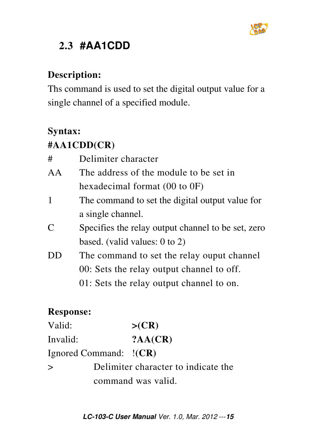

## **2.3 #AA1CDD**

#### **Description:**

Ths command is used to set the digital output value for a single channel of a specified module.

#### **Syntax:**

## **#AA1CDD(CR)**

| #             | Delimiter character                                |
|---------------|----------------------------------------------------|
| AA            | The address of the module to be set in             |
|               | hexadecimal format $(00 \text{ to } 0F)$           |
| $\mathbf{1}$  | The command to set the digital output value for    |
|               | a single channel.                                  |
| $\mathcal{C}$ | Specifies the relay output channel to be set, zero |
|               | based. (valid values: $0$ to $2$ )                 |
| $1)$ $\vert$  | The command to set the relay ouput channel         |
|               | 00: Sets the relay output channel to off.          |
|               | 01: Sets the relay output channel to on.           |
|               |                                                    |

| Valid:                   | >(CR)                               |
|--------------------------|-------------------------------------|
| Invalid:                 | ?AA(CR)                             |
| Ignored Command: $!(CR)$ |                                     |
| $\geq$                   | Delimiter character to indicate the |
|                          | command was valid.                  |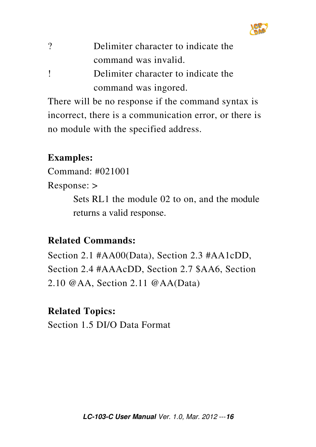

| $\overline{\mathcal{C}}$ | Delimiter character to indicate the |
|--------------------------|-------------------------------------|
|                          | command was invalid.                |
|                          |                                     |

! Delimiter character to indicate the command was ingored.

There will be no response if the command syntax is incorrect, there is a communication error, or there is no module with the specified address.

#### **Examples:**

Command: #021001

Response: >

 Sets RL1 the module 02 to on, and the module returns a valid response.

## **Related Commands:**

Section 2.1 #AA00(Data), Section 2.3 #AA1cDD, Section 2.4 #AAAcDD, Section 2.7 \$AA6, Section 2.10 @AA, Section 2.11 @AA(Data)

## **Related Topics:**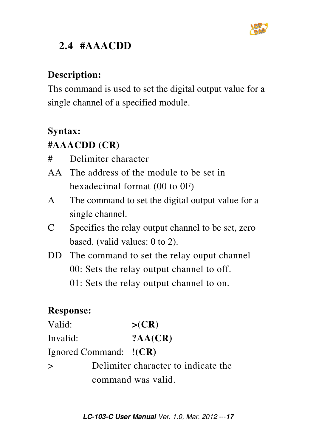

## **2.4 #AAACDD**

## **Description:**

Ths command is used to set the digital output value for a single channel of a specified module.

#### **Syntax:**

## **#AAACDD (CR)**

- # Delimiter character
- AA The address of the module to be set in hexadecimal format (00 to 0F)
- A The command to set the digital output value for a single channel.
- C Specifies the relay output channel to be set, zero based. (valid values: 0 to 2).
- DD The command to set the relay ouput channel 00: Sets the relay output channel to off. 01: Sets the relay output channel to on.

| Valid:   |                        | >(CR)                               |
|----------|------------------------|-------------------------------------|
| Invalid: |                        | ?AA(CR)                             |
|          | Ignored Command: !(CR) |                                     |
| $\geq$   |                        | Delimiter character to indicate the |
|          |                        | command was valid.                  |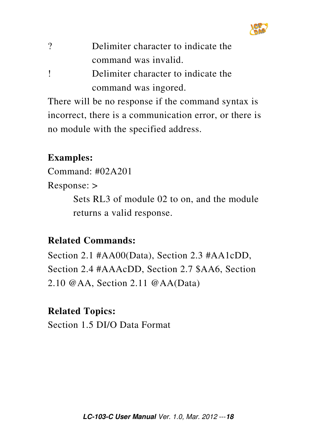

| ? | Delimiter character to indicate the |
|---|-------------------------------------|
|   | command was invalid.                |

! Delimiter character to indicate the command was ingored.

There will be no response if the command syntax is incorrect, there is a communication error, or there is no module with the specified address.

#### **Examples:**

Command: #02A201

Response: >

 Sets RL3 of module 02 to on, and the module returns a valid response.

#### **Related Commands:**

Section 2.1 #AA00(Data), Section 2.3 #AA1cDD, Section 2.4 #AAAcDD, Section 2.7 \$AA6, Section 2.10 @AA, Section 2.11 @AA(Data)

#### **Related Topics:**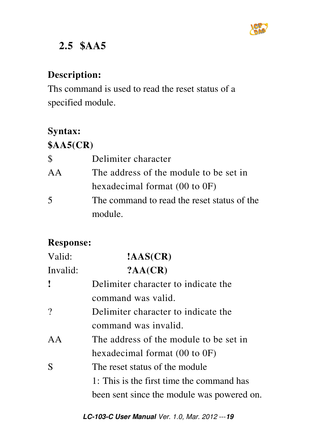

## **2.5 \$AA5**

## **Description:**

Ths command is used to read the reset status of a specified module.

## **Syntax:**

## **\$AA5(CR)**

| $\mathcal{S}$            | Delimiter character                         |
|--------------------------|---------------------------------------------|
| $A\overline{A}$          | The address of the module to be set in      |
|                          | hexadecimal format $(00 \text{ to } 0F)$    |
| $\overline{\mathcal{L}}$ | The command to read the reset status of the |
|                          | module.                                     |

| Valid:   | $\text{AAS}(\text{CR})$                    |
|----------|--------------------------------------------|
| Invalid: | ?AA(CR)                                    |
| ľ        | Delimiter character to indicate the        |
|          | command was valid.                         |
| $\gamma$ | Delimiter character to indicate the        |
|          | command was invalid.                       |
| AA       | The address of the module to be set in     |
|          | hexadecimal format $(00 \text{ to } 0F)$   |
| S        | The reset status of the module             |
|          | 1: This is the first time the command has  |
|          | been sent since the module was powered on. |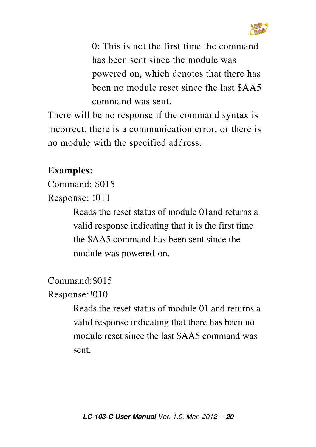

 0: This is not the first time the command has been sent since the module was powered on, which denotes that there has been no module reset since the last \$AA5 command was sent.

There will be no response if the command syntax is incorrect, there is a communication error, or there is no module with the specified address.

#### **Examples:**

Command: \$015

Response: !011

 Reads the reset status of module 01and returns a valid response indicating that it is the first time the \$AA5 command has been sent since the module was powered-on.

Command:\$015

Response:!010

 Reads the reset status of module 01 and returns a valid response indicating that there has been no module reset since the last \$AA5 command was sent.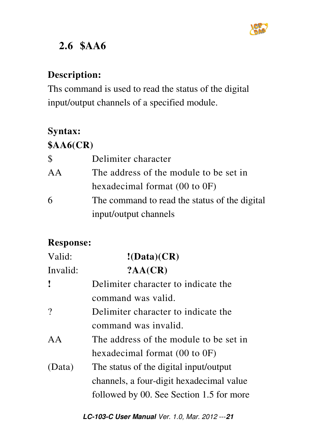

## **2.6 \$AA6**

## **Description:**

Ths command is used to read the status of the digital input/output channels of a specified module.

## **Syntax:**

## **\$AA6(CR)**

| $\mathcal{S}$ | Delimiter character                           |
|---------------|-----------------------------------------------|
| AA            | The address of the module to be set in        |
|               | hexadecimal format $(00 \text{ to } 0F)$      |
| 6             | The command to read the status of the digital |
|               | input/output channels                         |

| Valid:   | !(Data)(CR)                              |
|----------|------------------------------------------|
| Invalid: | ?AA(CR)                                  |
| I        | Delimiter character to indicate the      |
|          | command was valid.                       |
| $\gamma$ | Delimiter character to indicate the      |
|          | command was invalid.                     |
| AA       | The address of the module to be set in   |
|          | hexadecimal format $(00 \text{ to } 0F)$ |
| (Data)   | The status of the digital input/output   |
|          | channels, a four-digit hexadecimal value |
|          | followed by 00. See Section 1.5 for more |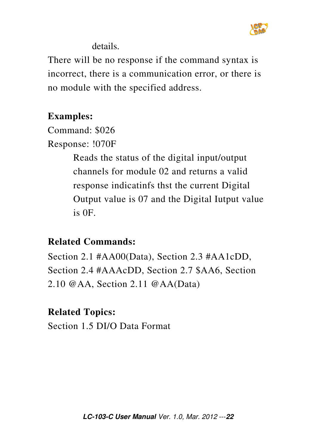

details.

There will be no response if the command syntax is incorrect, there is a communication error, or there is no module with the specified address.

#### **Examples:**

Command: \$026 Response: !070F

> Reads the status of the digital input/output channels for module 02 and returns a valid response indicatinfs thst the current Digital Output value is 07 and the Digital Iutput value is 0F.

#### **Related Commands:**

Section 2.1 #AA00(Data), Section 2.3 #AA1cDD, Section 2.4 #AAAcDD, Section 2.7 \$AA6, Section 2.10 @AA, Section 2.11 @AA(Data)

#### **Related Topics:**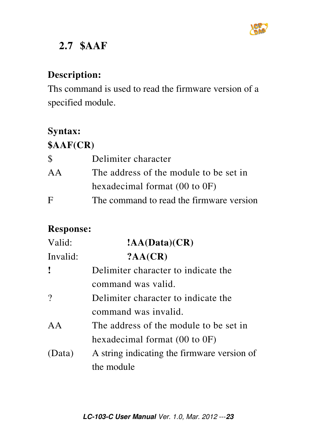

## **2.7 \$AAF**

#### **Description:**

Ths command is used to read the firmware version of a specified module.

#### **Syntax:**

## **\$AAF(CR)**

| S  | Delimiter character                      |
|----|------------------------------------------|
| AA | The address of the module to be set in   |
|    | hexadecimal format $(00 \text{ to } 0F)$ |
| F  | The command to read the firmware version |

| Valid:       | !AA(Data)(CR)                               |
|--------------|---------------------------------------------|
| Invalid:     | ?AA(CR)                                     |
| $\mathbf{I}$ | Delimiter character to indicate the         |
|              | command was valid.                          |
| $\gamma$     | Delimiter character to indicate the         |
|              | command was invalid.                        |
| AA           | The address of the module to be set in      |
|              | hexadecimal format $(00 \text{ to } 0F)$    |
| (Data)       | A string indicating the firmware version of |
|              | the module                                  |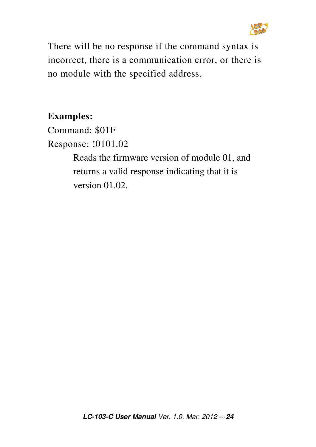

There will be no response if the command syntax is incorrect, there is a communication error, or there is no module with the specified address.

#### **Examples:**

Command: \$01F Response: !0101.02 Reads the firmware version of module 01, and returns a valid response indicating that it is version 01.02.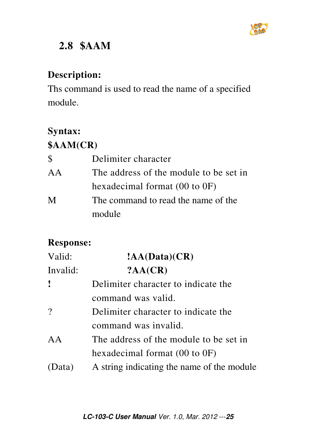

## **2.8 \$AAM**

#### **Description:**

Ths command is used to read the name of a specified module.

## **Syntax:**

## **\$AAM(CR)**

| $\mathcal{S}$ | Delimiter character                      |  |
|---------------|------------------------------------------|--|
| AA            | The address of the module to be set in   |  |
|               | hexadecimal format $(00 \text{ to } 0F)$ |  |
| M             | The command to read the name of the      |  |
|               | module                                   |  |

| Valid:   | $1AA(Data)(CR)$                            |  |
|----------|--------------------------------------------|--|
| Invalid: | ?AA(CR)                                    |  |
| Ţ        | Delimiter character to indicate the        |  |
|          | command was valid.                         |  |
| $\gamma$ | Delimiter character to indicate the        |  |
|          | command was invalid.                       |  |
| AA       | The address of the module to be set in     |  |
|          | hexadecimal format $(00 \text{ to } 0F)$   |  |
| (Data)   | A string indicating the name of the module |  |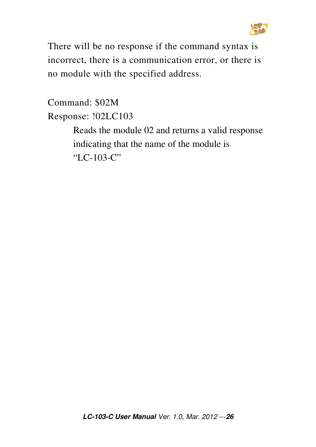

There will be no response if the command syntax is incorrect, there is a communication error, or there is no module with the specified address.

Command: \$02M Response: !02LC103 Reads the module 02 and returns a valid response indicating that the name of the module is "LC-103-C"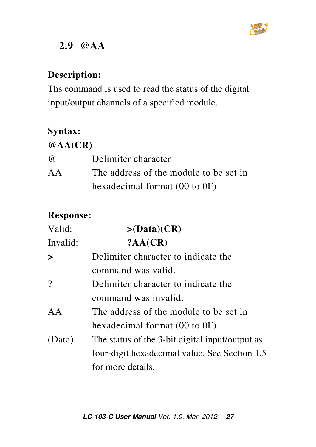

## **2.9 @AA**

#### **Description:**

Ths command is used to read the status of the digital input/output channels of a specified module.

#### **Syntax:**

#### **@AA(CR)**

| $\omega$ | Delimiter character                      |
|----------|------------------------------------------|
| AA       | The address of the module to be set in   |
|          | hexadecimal format $(00 \text{ to } 0F)$ |

| Valid:   | $>(\text{Data})(CR)$                            |  |
|----------|-------------------------------------------------|--|
| Invalid: | ?AA(CR)                                         |  |
| $\geq$   | Delimiter character to indicate the             |  |
|          | command was valid.                              |  |
| $\gamma$ | Delimiter character to indicate the             |  |
|          | command was invalid.                            |  |
| AA       | The address of the module to be set in          |  |
|          | hexadecimal format $(00 \text{ to } 0F)$        |  |
| (Data)   | The status of the 3-bit digital input/output as |  |
|          | four-digit hexadecimal value. See Section 1.5   |  |
|          | for more details.                               |  |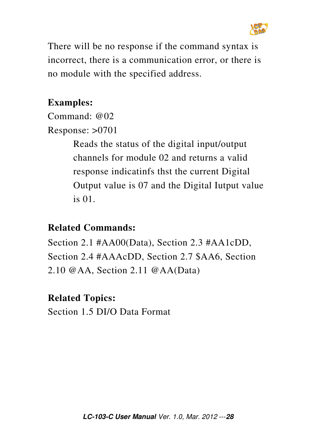

There will be no response if the command syntax is incorrect, there is a communication error, or there is no module with the specified address.

#### **Examples:**

Command: @02

Response: >0701

 Reads the status of the digital input/output channels for module 02 and returns a valid response indicatinfs thst the current Digital Output value is 07 and the Digital Iutput value is 01.

#### **Related Commands:**

Section 2.1 #AA00(Data), Section 2.3 #AA1cDD, Section 2.4 #AAAcDD, Section 2.7 \$AA6, Section 2.10 @AA, Section 2.11 @AA(Data)

#### **Related Topics:**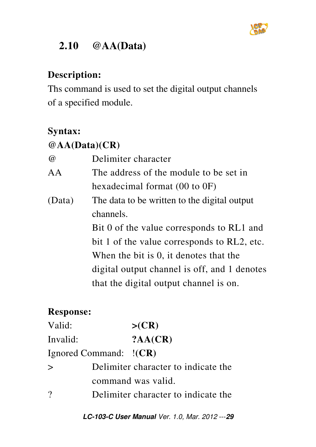

## **2.10 @AA(Data)**

## **Description:**

Ths command is used to set the digital output channels of a specified module.

#### **Syntax:**

## **@AA(Data)(CR)**

| $\omega$ | Delimiter character                          |
|----------|----------------------------------------------|
| AA       | The address of the module to be set in       |
|          | hexadecimal format $(00 \text{ to } 0F)$     |
| (Data)   | The data to be written to the digital output |
|          | channels.                                    |
|          | Bit 0 of the value corresponds to RL1 and    |
|          | bit 1 of the value corresponds to RL2, etc.  |
|          | When the bit is 0, it denotes that the       |
|          | digital output channel is off, and 1 denotes |
|          | that the digital output channel is on.       |

## **Response:**

| Valid:                 | >(CR)                               |
|------------------------|-------------------------------------|
| Invalid:               | ?AA(CR)                             |
| Ignored Command: !(CR) |                                     |
| $\geq$                 | Delimiter character to indicate the |
|                        | command was valid.                  |
| $\gamma$               | Delimiter character to indicate the |
|                        |                                     |

**LC-103-C User Manual** Ver. 1.0, Mar. 2012 ---**29**